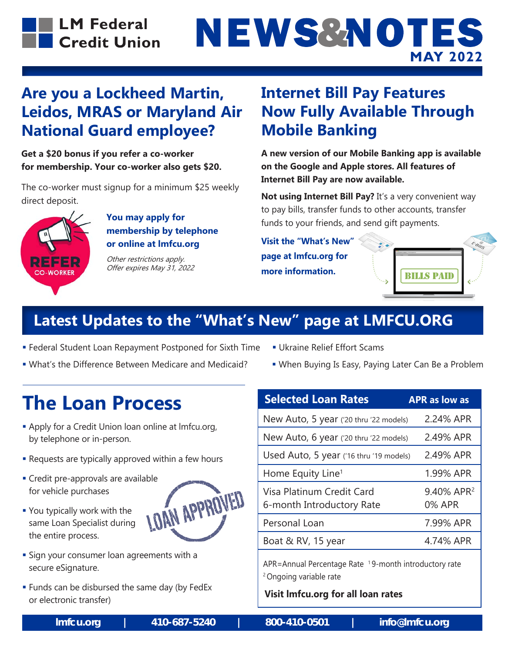

# **NEWS&NOTES MAY 2022**

#### **Are you a Lockheed Martin, Leidos, MRAS or Maryland Air National Guard employee?**

**Get a \$20 bonus if you refer a co-worker for membership. Your co-worker also gets \$20.**

The co-worker must signup for a minimum \$25 weekly direct deposit.



 **You may apply for membership by telephone or online at lmfcu.org**

Other restrictions apply. Offer expires May 31, 2022

#### **Internet Bill Pay Features Now Fully Available Through Mobile Banking**

**A new version of our Mobile Banking app is available on the Google and Apple stores. All features of Internet Bill Pay are now available.**

**Not using Internet Bill Pay?** It's a very convenient way to pay bills, transfer funds to other accounts, transfer funds to your friends, and send gift payments.

**Visit the "What's New" page at lmfcu.org for more information.**



### **Latest Updates to the "What's New" page at LMFCU.ORG**

- **Federal Student Loan Repayment Postponed for Sixth Time Ukraine Relief Effort Scams**
- What's the Difference Between Medicare and Medicaid? When Buying Is Easy, Paying Later Can Be a Problem
- 
- 

### **The Loan Process**

- Apply for a Credit Union loan online at lmfcu.org, by telephone or in-person.
- **-** Requests are typically approved within a few hours
- for vehicle purchases
- Credit pre-approvals are available<br>for vehicle purchases<br>• You typically work with the<br>same Loan Specialist during You typically work with the same Loan Specialist during the entire process.
- **Sign your consumer loan agreements with a** secure eSignature.
- **Funds can be disbursed the same day (by FedEx** or electronic transfer)

| <b>Selected Loan Rates</b>                                    | <b>APR as low as</b>             |
|---------------------------------------------------------------|----------------------------------|
| New Auto, 5 year ('20 thru '22 models)                        | 2.24% APR                        |
| New Auto, 6 year ('20 thru '22 models)                        | 2.49% APR                        |
| Used Auto, 5 year ('16 thru '19 models)                       | 2.49% APR                        |
| Home Equity Line <sup>1</sup>                                 | 1.99% APR                        |
| Visa Platinum Credit Card<br>6-month Introductory Rate        | 9.40% APR <sup>2</sup><br>0% APR |
| Personal Loan                                                 | 7.99% APR                        |
| Boat & RV, 15 year                                            | 4.74% APR                        |
| <u> ADD-Annual Dercentage Rate 19-month introductory rate</u> |                                  |

APR=Annual Percentage Rate 1 9-month introductory rate 2 Ongoing variable rate

**Visit lmfcu.org for all loan rates**